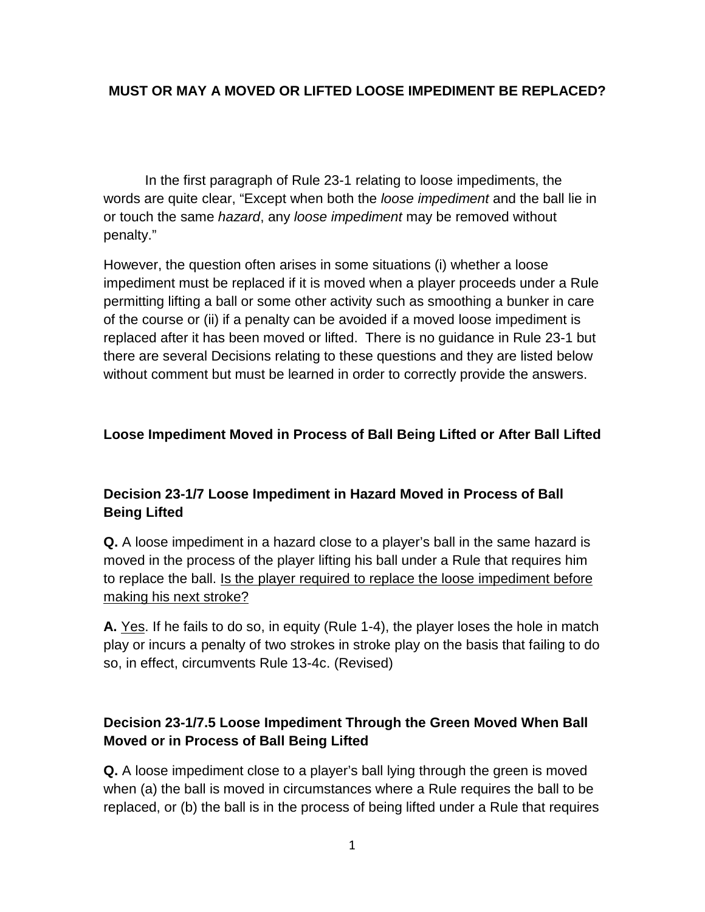## **MUST OR MAY A MOVED OR LIFTED LOOSE IMPEDIMENT BE REPLACED?**

In the first paragraph of Rule 23-1 relating to loose impediments, the words are quite clear, "Except when both the *loose impediment* and the ball lie in or touch the same *hazard*, any *loose impediment* may be removed without penalty."

However, the question often arises in some situations (i) whether a loose impediment must be replaced if it is moved when a player proceeds under a Rule permitting lifting a ball or some other activity such as smoothing a bunker in care of the course or (ii) if a penalty can be avoided if a moved loose impediment is replaced after it has been moved or lifted. There is no guidance in Rule 23-1 but there are several Decisions relating to these questions and they are listed below without comment but must be learned in order to correctly provide the answers.

#### **Loose Impediment Moved in Process of Ball Being Lifted or After Ball Lifted**

# **Decision 23-1/7 Loose Impediment in Hazard Moved in Process of Ball Being Lifted**

**Q.** A loose impediment in a hazard close to a player's ball in the same hazard is moved in the process of the player lifting his ball under a Rule that requires him to replace the ball. Is the player required to replace the loose impediment before making his next stroke?

**A.** Yes. If he fails to do so, in equity (Rule 1-4), the player loses the hole in match play or incurs a penalty of two strokes in stroke play on the basis that failing to do so, in effect, circumvents Rule 13-4c. (Revised)

## **Decision 23-1/7.5 Loose Impediment Through the Green Moved When Ball Moved or in Process of Ball Being Lifted**

**Q.** A loose impediment close to a player's ball lying through the green is moved when (a) the ball is moved in circumstances where a Rule requires the ball to be replaced, or (b) the ball is in the process of being lifted under a Rule that requires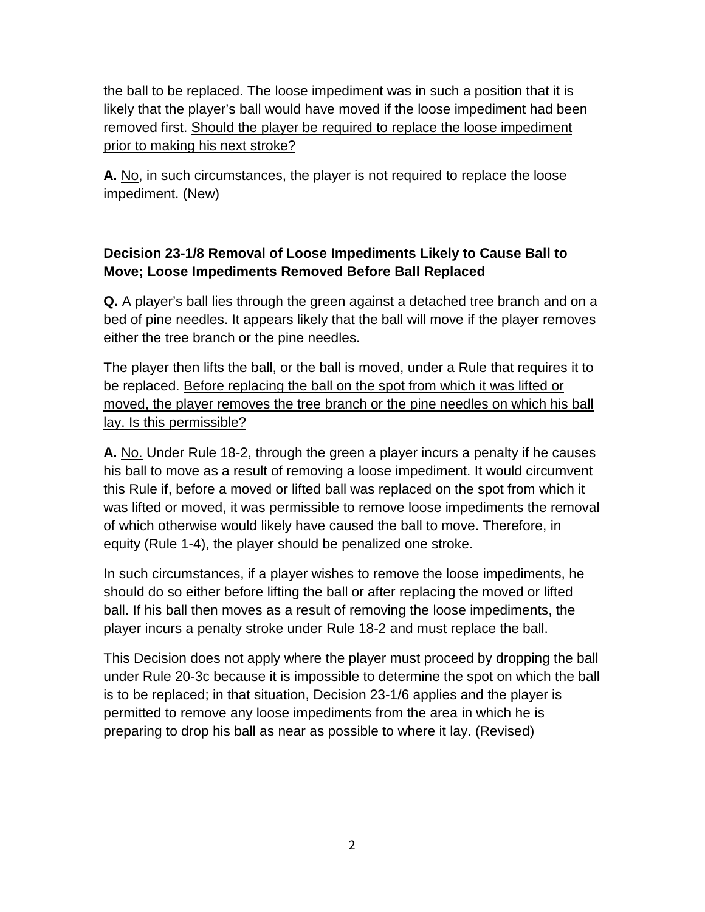the ball to be replaced. The loose impediment was in such a position that it is likely that the player's ball would have moved if the loose impediment had been removed first. Should the player be required to replace the loose impediment prior to making his next stroke?

**A.** No, in such circumstances, the player is not required to replace the loose impediment. (New)

# **Decision 23-1/8 Removal of Loose Impediments Likely to Cause Ball to Move; Loose Impediments Removed Before Ball Replaced**

**Q.** A player's ball lies through the green against a detached tree branch and on a bed of pine needles. It appears likely that the ball will move if the player removes either the tree branch or the pine needles.

The player then lifts the ball, or the ball is moved, under a Rule that requires it to be replaced. Before replacing the ball on the spot from which it was lifted or moved, the player removes the tree branch or the pine needles on which his ball lay. Is this permissible?

**A.** No. Under Rule 18-2, through the green a player incurs a penalty if he causes his ball to move as a result of removing a loose impediment. It would circumvent this Rule if, before a moved or lifted ball was replaced on the spot from which it was lifted or moved, it was permissible to remove loose impediments the removal of which otherwise would likely have caused the ball to move. Therefore, in equity (Rule 1-4), the player should be penalized one stroke.

In such circumstances, if a player wishes to remove the loose impediments, he should do so either before lifting the ball or after replacing the moved or lifted ball. If his ball then moves as a result of removing the loose impediments, the player incurs a penalty stroke under Rule 18-2 and must replace the ball.

This Decision does not apply where the player must proceed by dropping the ball under Rule 20-3c because it is impossible to determine the spot on which the ball is to be replaced; in that situation, Decision 23-1/6 applies and the player is permitted to remove any loose impediments from the area in which he is preparing to drop his ball as near as possible to where it lay. (Revised)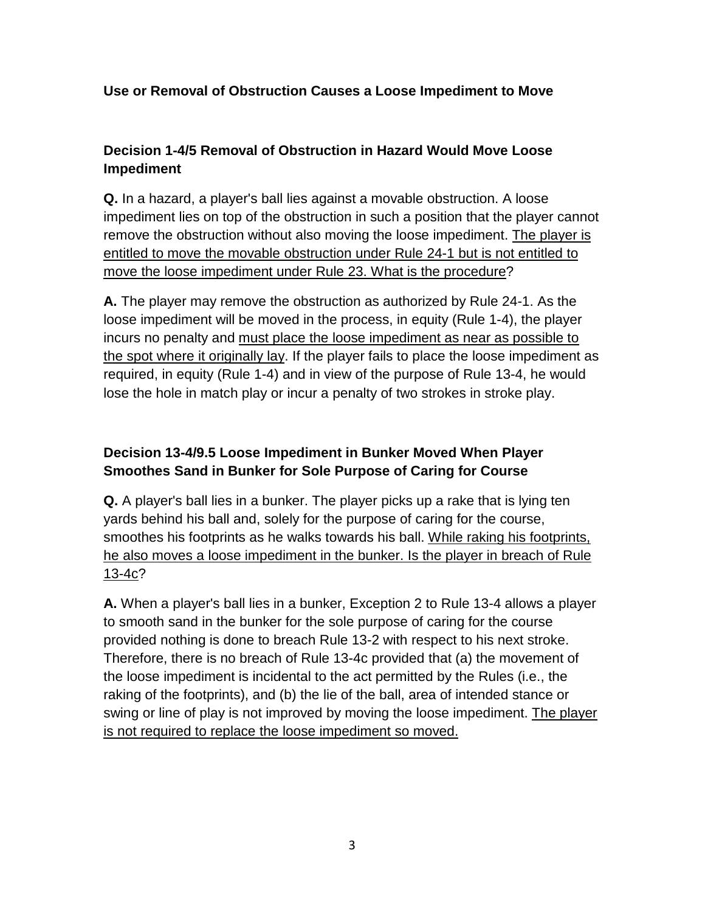## **Use or Removal of Obstruction Causes a Loose Impediment to Move**

# **Decision 1-4/5 Removal of Obstruction in Hazard Would Move Loose Impediment**

**Q.** In a hazard, a player's ball lies against a movable obstruction. A loose impediment lies on top of the obstruction in such a position that the player cannot remove the obstruction without also moving the loose impediment. The player is entitled to move the movable obstruction under Rule [24-1](http://www.usga.org/content/usga/home-page/rules/rules-and-decisions.html#%21rule-24,24-1) but is not entitled to move the loose impediment under Rule [23.](http://www.usga.org/content/usga/home-page/rules/rules-and-decisions.html#%21rule-23,23) What is the procedure?

**A.** The player may remove the obstruction as authorized by Rule [24-1.](http://www.usga.org/content/usga/home-page/rules/rules-and-decisions.html#%21rule-24,24-1) As the loose impediment will be moved in the process, in equity (Rule [1-4\)](http://www.usga.org/content/usga/home-page/rules/rules-and-decisions.html#%21rule-01,1-4), the player incurs no penalty and must place the loose impediment as near as possible to the spot where it originally lay. If the player fails to place the loose impediment as required, in equity (Rule [1-4\)](http://www.usga.org/content/usga/home-page/rules/rules-and-decisions.html#%21rule-01,1-4) and in view of the purpose of Rule [13-4,](http://www.usga.org/content/usga/home-page/rules/rules-and-decisions.html#%21rule-13,13-4) he would lose the hole in match play or incur a penalty of two strokes in stroke play.

# **Decision 13-4/9.5 Loose Impediment in Bunker Moved When Player Smoothes Sand in Bunker for Sole Purpose of Caring for Course**

**Q.** A player's ball lies in a bunker. The player picks up a rake that is lying ten yards behind his ball and, solely for the purpose of caring for the course, smoothes his footprints as he walks towards his ball. While raking his footprints, he also moves a loose impediment in the bunker. Is the player in breach of Rule [13-4c?](http://www.usga.org/content/usga/home-page/rules/rules-and-decisions.html#%21rule-13,13-4c)

**A.** When a player's ball lies in a bunker, Exception 2 to Rule [13-4](http://www.usga.org/content/usga/home-page/rules/rules-and-decisions.html#%21rule-13,13-4) allows a player to smooth sand in the bunker for the sole purpose of caring for the course provided nothing is done to breach Rule [13-2](http://www.usga.org/content/usga/home-page/rules/rules-and-decisions.html#%21rule-13,13-2) with respect to his next stroke. Therefore, there is no breach of Rule [13-4c](http://www.usga.org/content/usga/home-page/rules/rules-and-decisions.html#%21rule-13,13-4c) provided that (a) the movement of the loose impediment is incidental to the act permitted by the Rules (i.e., the raking of the footprints), and (b) the lie of the ball, area of intended stance or swing or line of play is not improved by moving the loose impediment. The player is not required to replace the loose impediment so moved.